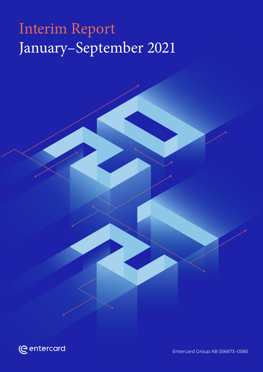## Interim Report January–September 2021



Entercard Group AB 556673–0585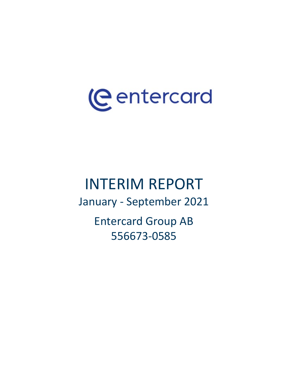# (eentercard

## INTERIM REPORT

January - September 2021

Entercard Group AB 556673-0585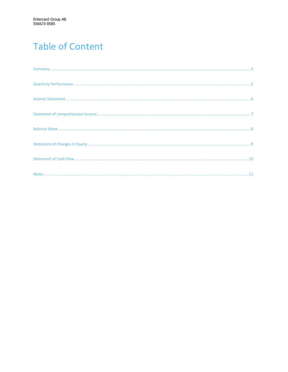## **Table of Content**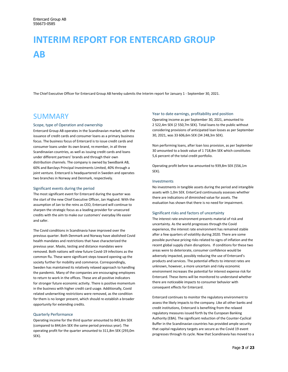## **INTERIM REPORT FOR ENTERCARD GROUP AB**

The Chief Executive Officer for Entercard Group AB hereby submits the Interim report for January 1 - September 30, 2021.

### SUMMARY

### Scope, type of Operation and ownership

Entercard Group AB operates in the Scandinavian market, with the issuance of credit cards and consumer loans as a primary business focus. The business focus of Entercard is to issue credit cards and consumer loans under its own brand, re:member, in all three Scandinavian countries, as well as issuing credit cards and loans under different partners' brands and through their own distribution channels. The company is owned by Swedbank AB, 60% and Barclays Principal Investments Limited, 40% through a joint venture. Entercard is headquartered in Sweden and operates two branches in Norway and Denmark, respectively.

### Significant events during the period

The most significant event for Entercard during the quarter was the start of the new Chief Executive Officer, Jan Haglund. With the assumption of Jan to the reins as CEO, Entercard will continue to sharpen the strategic focus as a leading provider for unsecured credits with the aim to make our customers' everyday life easier and safer.

The Covid conditions in Scandinavia have improved over the previous quarter. Both Denmark and Norway have abolished Covid health mandates and restrictions that have characterized the previous year. Masks, testing and distance mandates were removed. Both nations will view future Covid-19 infections as the common flu. These were significant steps toward opening up the society further for mobility and commerce. Correspondingly, Sweden has maintained its relatively relaxed approach to handling the pandemic. Many of the companies are encouraging employees to return to work in the offices. These are all positive indicators for stronger future economic activity. There is positive momentum in the business with higher credit card usage. Additionally, Covid related underwriting restrictions were removed, as the condition for them is no longer present, which should re-establish a broader opportunity for extending credits.

### Quarterly Performance

Operating income for the third quarter amounted to 843,8m SEK (compared to 844,6m SEK the same period previous year). The operating profit for the quarter amounted to 311,8m SEK (293,0m SEK).

### Year to date earnings, profitability and position

Operating income as per September 30, 2021, amounted to 2 522,4m SEK (2 550,7m SEK). Total loans to the public without considering provisions of anticipated loan losses as per September 30, 2021, was 33 606,6m SEK (34 248,3m SEK).

Non performing loans, after loan loss provision, as per September 30 amounted to a book value of 1 718,8m SEK which constitutes 5,6 percent of the total credit portfolio.

Operating profit before tax amounted to 939,8m SEK (556,1m SEK).

#### Investments

No investments in tangible assets during the period and intangible assets with 1,0m SEK. EnterCard continuously assesses whether there are indications of diminished value for assets. The evaluation has shown that there is no need for impairment.

#### Significant risks and factors of uncertainty

The interest rate environment presents material of risk and uncertainty. As the world progresses through the Covid experience, the interest rate environment has remained stable after a few quarters of volatility during 2020. There are some possible purchase pricing risks related to signs of inflation and the recent global supply chain disruptions. If conditions for these two areas were to deteriorate, consumer confidence would be adversely impacted, possibly reducing the use of Entercard's products and services. The potential effects to interest rates are unknown, however, a more uncertain and risky economic environment increases the potential for interest expense risk for Entercard. These items will be monitored to understand whether there are noticeable impacts to consumer behavior with consequent effects for Entercard.

Entercard continues to monitor the regulatory environment to assess the likely impacts to the company. Like all other banks and credit institutions, Entercard is benefiting from the relaxed regulatory measures issued forth by the European Banking Authority (EBA). The significant reduction of the Counter-Cyclical Buffer in the Scandinavian countries has provided ample security that capital regulatory targets are secure as the Covid 19 event progresses through its cycle. Now that Scandinavia has moved to a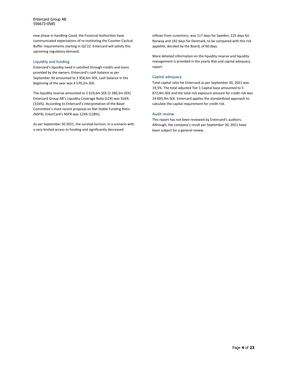Entercard Group AB 556673-0585

new phase in handling Covid, the Financial Authorities have communicated expectations of re-instituting the Counter-Cyclical Buffer requirements starting in Q2'22. Entercard will satisfy this upcoming regulatory demand.

#### Liquidity and funding

Entercard's liquidity need is satisfied through credits and loans provided by the owners. Entercard's cash balance as per September 30 amounted to 3 956,6m SEK, cash balance in the beginning of the year was 4 570,2m SEK.

The liquidity reserve amounted to 2 619,6m SEK (2 280,3m SEK). Entercard Group AB's Liquidity Coverage Ratio (LCR) was 316% (316%). According to Entercard's interpretation of the Basel Committee's most recent proposal on Net Stable Funding Ratio (NSFR), EnterCard's NSFR was 124% (128%).

As per September 30 2021, the survival horizon, in a scenario with a very limited access to funding and significantly decreased

inflows from customers, was 117 days for Sweden, 125 days for Norway and 182 days for Denmark, to be compared with the risk appetite, decided by the Board, of 60 days.

More detailed information on the liquidity reserve and liquidity management is provided in the yearly Risk and capital adequacy report.

### Capital adequacy

Total capital ratio for Entercard as per September 30, 2021 was 19,5%. The total adjusted Tier 1 Capital base amounted to 5 872,4m SEK and the total risk exposure amount for credit risk was 24 695,9m SEK. Entercard applies the standardized approach to calculate the capital requirement for credit risk.

### Audit review

This report has not been reviewed by Entercard's auditors. Although, the company's result per September 30, 2021 have been subject for a general review.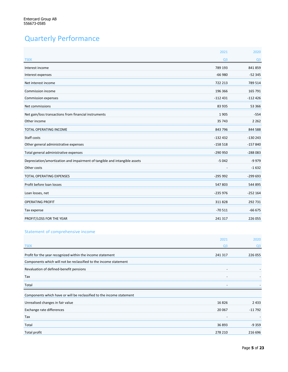## Quarterly Performance

|                                                                            | 2021           | 2020           |
|----------------------------------------------------------------------------|----------------|----------------|
| <b>TSEK</b>                                                                | Q <sub>3</sub> | Q <sub>3</sub> |
| Interest income                                                            | 789 193        | 841859         |
| Interest expenses                                                          | $-66980$       | $-52345$       |
| Net interest income                                                        | 722 213        | 789 514        |
| Commission income                                                          | 196 366        | 165 791        |
| Commission expenses                                                        | $-112431$      | $-112426$      |
| Net commissions                                                            | 83 935         | 53 366         |
| Net gain/loss transactions from financial instruments                      | 1905           | $-554$         |
| Other income                                                               | 35 743         | 2 2 6 2        |
| TOTAL OPERATING INCOME                                                     | 843 796        | 844 588        |
| Staff costs                                                                | $-132432$      | $-130243$      |
| Other general administrative expenses                                      | $-158518$      | $-157840$      |
| Total general administrative expenses                                      | $-290950$      | $-288083$      |
| Depreciation/amortization and impairment of tangible and intangible assets | $-5042$        | $-9979$        |
| Other costs                                                                |                | $-1632$        |
| <b>TOTAL OPERATING EXPENSES</b>                                            | $-295992$      | $-299693$      |
| Profit before loan losses                                                  | 547803         | 544 895        |
| Loan losses, net                                                           | $-235976$      | $-252164$      |
| <b>OPERATING PROFIT</b>                                                    | 311828         | 292 731        |
| Tax expense                                                                | $-70511$       | $-66675$       |
| PROFIT/LOSS FOR THE YEAR                                                   | 241 317        | 226 055        |

### Statement of comprehensive income

|                                                                       | 2021                     | 2020           |
|-----------------------------------------------------------------------|--------------------------|----------------|
| <b>TSEK</b>                                                           | Q <sub>3</sub>           | Q <sub>3</sub> |
| Profit for the year recognized within the income statement            | 241 317                  | 226 055        |
| Components which will not be reclassified to the income statement     |                          |                |
| Revaluation of defined-benefit pensions                               |                          |                |
| Tax                                                                   | $\overline{\phantom{a}}$ |                |
| Total                                                                 |                          |                |
| Components which have or will be reclassified to the income statement |                          |                |
| Unrealised changes in fair value                                      | 16826                    | 2 4 3 3        |
| Exchange rate differences                                             | 20 067                   | $-11792$       |
| Tax                                                                   |                          |                |
| Total                                                                 | 36 893                   | $-9359$        |
| Total profit                                                          | 278 210                  | 216 696        |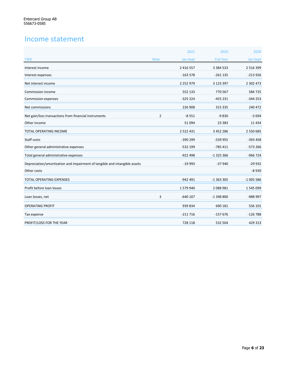### Income statement

|                                                                            |                | 2021          | 2020             | 2020          |
|----------------------------------------------------------------------------|----------------|---------------|------------------|---------------|
| <b>TSEK</b>                                                                | <b>Note</b>    | Jan-Sept      | <b>Full Year</b> | Jan-Sept      |
| Interest income                                                            |                | 2 4 1 6 5 5 7 | 3 3 8 4 5 3 3    | 2 5 1 6 3 9 9 |
| Interest expenses                                                          |                | $-163578$     | $-261135$        | $-213926$     |
| Net interest income                                                        |                | 2 2 5 2 9 7 9 | 3 123 397        | 2 302 473     |
| Commission income                                                          |                | 552 133       | 770 567          | 584725        |
| <b>Commission expenses</b>                                                 |                | $-325224$     | $-455231$        | $-344253$     |
| Net commissions                                                            |                | 226 908       | 315 335          | 240 472       |
| Net gain/loss transactions from financial instruments                      | $\overline{2}$ | $-8551$       | $-9830$          | $-3694$       |
| Other income                                                               |                | 51094         | 23 3 8 3         | 11 4 34       |
| TOTAL OPERATING INCOME                                                     |                | 2 5 2 2 4 3 1 | 3 452 286        | 2 550 685     |
| Staff costs                                                                |                | $-390299$     | -539 955         | $-393458$     |
| Other general administrative expenses                                      |                | $-532$ 199    | $-785411$        | $-573266$     |
| Total general administrative expenses                                      |                | $-922498$     | $-1325366$       | $-966724$     |
| Depreciation/amortization and impairment of tangible and intangible assets |                | $-19993$      | $-37940$         | $-29932$      |
| Other costs                                                                |                |               |                  | $-8930$       |
| <b>TOTAL OPERATING EXPENSES</b>                                            |                | $-942491$     | $-1363305$       | $-1005586$    |
| Profit before loan losses                                                  |                | 1579940       | 2088981          | 1545099       |
| Loan losses, net                                                           | 3              | $-640$ 107    | $-1398800$       | -988 997      |
| <b>OPERATING PROFIT</b>                                                    |                | 939 834       | 690 181          | 556 101       |
| Tax expense                                                                |                | $-211716$     | $-157676$        | $-126788$     |
| PROFIT/LOSS FOR THE YEAR                                                   |                | 728 118       | 532 504          | 429 313       |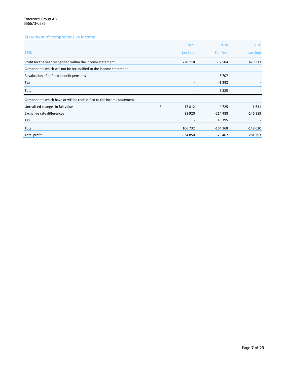### Statement of comprehensive income

|                                                                       |                | 2021                     | 2020             | 2020      |
|-----------------------------------------------------------------------|----------------|--------------------------|------------------|-----------|
| <b>TSEK</b>                                                           |                | Jan-Sept                 | <b>Full Year</b> | Jan-Sept  |
| Profit for the year recognized within the income statement            |                | 728 118                  | 532 504          | 429 313   |
| Components which will not be reclassified to the income statement     |                |                          |                  |           |
| Revaluation of defined-benefit pensions                               |                | $\overline{\phantom{a}}$ | 6707             |           |
| Tax                                                                   |                |                          | $-1382$          |           |
| Total                                                                 |                |                          | 5 3 2 5          |           |
| Components which have or will be reclassified to the income statement |                |                          |                  |           |
| Unrealised changes in fair value                                      | $\overline{2}$ | 17812                    | 4725             | $-1631$   |
| Exchange rate differences                                             |                | 88 9 20                  | $-214488$        | $-146389$ |
| Tax                                                                   |                |                          | 45 395           |           |
| Total                                                                 |                | 106 732                  | $-164368$        | $-148020$ |
| Total profit                                                          |                | 834 850                  | 373 462          | 281 293   |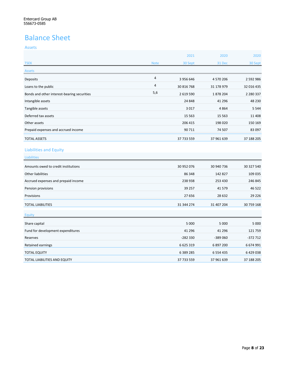## Balance Sheet

### Assets

|                                             |             | 2021       | 2020       | 2020          |
|---------------------------------------------|-------------|------------|------------|---------------|
| <b>TSEK</b>                                 | <b>Note</b> | 30 Sept    | 31 Dec     | 30 Sept       |
| Assets                                      |             |            |            |               |
| Deposits                                    | 4           | 3956646    | 4 570 206  | 2 5 9 2 9 8 6 |
| Loans to the public                         | 4           | 30 816 768 | 31 178 979 | 32 016 435    |
| Bonds and other interest-bearing securities | 5,6         | 2 619 590  | 1878204    | 2 2 8 0 3 3 7 |
| Intangible assets                           |             | 24 848     | 41 296     | 48 230        |
| Tangible assets                             |             | 3017       | 4864       | 5 5 4 4       |
| Deferred tax assets                         |             | 15 5 63    | 15 5 63    | 11 408        |
| Other assets                                |             | 206 415    | 198 020    | 150 169       |
| Prepaid expenses and accrued income         |             | 90 711     | 74 507     | 83 097        |
| <b>TOTAL ASSETS</b>                         |             | 37 733 559 | 37 961 639 | 37 188 205    |

### Liabilities and Equity

| Liabilities                         |            |            |            |
|-------------------------------------|------------|------------|------------|
| Amounts owed to credit institutions | 30 952 076 | 30 940 736 | 30 327 540 |
| Other liabilities                   | 86 348     | 142 827    | 109 035    |
| Accrued expenses and prepaid income | 238 938    | 253 430    | 246 845    |
| Pension provisions                  | 39 257     | 41 5 7 9   | 46 522     |
| Provisions                          | 27 656     | 28 6 32    | 29 2 26    |
| <b>TOTAL LIABILITIES</b>            | 31 344 274 | 31 407 204 | 30 759 168 |
| <b>Equity</b>                       |            |            |            |
| Share capital                       | 5 0 0 0    | 5 0 0 0    | 5 0 0 0    |
| Fund for development expenditures   | 41 296     | 41 296     | 121759     |

Reserves -282 330 -389 060 -372 712 Retained earnings 6 674 991 6 674 991 6 675 674 991 6 675 676 677 6897 700 6 674 991 6 74 991 6 75 674 991 6 75 TOTAL EQUITY 6 389 285 6 554 435 6 429 038 TOTAL LIABILITIES AND EQUITY **120 ASSESSED 20 ASSESSED 21 ASSESSED 37** 961 639 37 188 205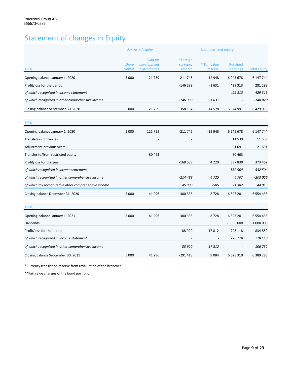## Statement of changes in Equity

|                                                       |                         | <b>Restricted equity</b>                       | Non-restricted equity           |                         |                      |                     |
|-------------------------------------------------------|-------------------------|------------------------------------------------|---------------------------------|-------------------------|----------------------|---------------------|
| <b>TSEK</b>                                           | <b>Share</b><br>capital | <b>Fund for</b><br>development<br>expenditures | *Foreign<br>currency<br>reserve | **Fair value<br>reserve | Retained<br>earnings | <b>Total Equity</b> |
| Opening balance January 1, 2020                       | 5 0 0 0                 | 121 759                                        | -211 745                        | $-12948$                | 6 245 678            | 6 147 744           |
| Profit/loss for the period                            |                         |                                                | $-146389$                       | $-1631$                 | 429 313              | 281 293             |
| of which recognized in income statement               |                         |                                                |                                 |                         | 429 313              | 429 313             |
| of which recognized in other comprehensive income     |                         |                                                | -146 389                        | $-1631$                 |                      | $-148020$           |
| Closing balance September 30, 2020                    | 5 0 0 0                 | 121 759                                        | $-358134$                       | $-14578$                | 6 674 991            | 6429038             |
| <b>TSEK</b>                                           |                         |                                                |                                 |                         |                      |                     |
| Opening balance January 1, 2020                       | 5 0 0 0                 | 121759                                         | $-211745$                       | $-12948$                | 6 245 678            | 6 147 744           |
| <b>Translation diffrences</b>                         |                         |                                                |                                 |                         | 11 5 3 9             | 11 5 39             |
| Adjustment previous years                             |                         |                                                |                                 |                         | 21 691               | 21 691              |
| Transfer to/from restricted equity                    |                         | $-80463$                                       |                                 |                         | 80 4 63              |                     |
| Profit/loss for the year                              |                         |                                                | $-168588$                       | 4 2 2 0                 | 537830               | 373 462             |
| of which recognized in income statement               |                         |                                                |                                 |                         | 532 504              | 532 504             |
| of which recognized in other comprehensive income     |                         |                                                | $-214488$                       | 4725                    | 6707                 | $-203056$           |
| of which tax recognized in other comprehensive income |                         |                                                | 45 900                          | $-505$                  | $-1382$              | 44 013              |
| Closing balance December 31, 2020                     | 5 0 0 0                 | 41 296                                         | -380 333                        | $-8728$                 | 6 897 201            | 6 5 5 4 4 3 5       |
| <b>TSEK</b>                                           |                         |                                                |                                 |                         |                      |                     |
| Opening balance January 1, 2021                       | 5 0 0 0                 | 41 296                                         | -380 333                        | $-8728$                 | 6 897 201            | 6 5 5 4 4 3 5       |
| Dividends                                             |                         |                                                |                                 |                         | $-1000000$           | $-1000000$          |
| Profit/loss for the period                            |                         |                                                | 88 9 20                         | 17812                   | 728 118              | 834 850             |
| of which recognized in income statement               |                         |                                                |                                 |                         | 728 118              | 728 118             |
| of which recognized in other comprehensive income     |                         |                                                | 88 9 20                         | 17812                   |                      | 106 732             |
| Closing balance September 30, 2021                    | 5 0 0 0                 | 41 296                                         | $-291413$                       | 9084                    | 6 6 25 3 19          | 6 389 285           |

\*Currency translation reserve from revaluation of the branches

\*\*Fair value changes of the bond portfolio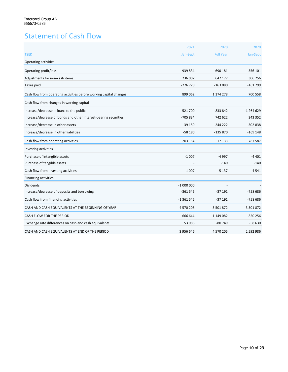## Statement of Cash Flow

|                                                                    | 2021       | 2020             | 2020          |
|--------------------------------------------------------------------|------------|------------------|---------------|
| <b>TSEK</b>                                                        | Jan-Sept   | <b>Full Year</b> | Jan-Sept      |
| Operating activities                                               |            |                  |               |
| Operating profit/loss                                              | 939 834    | 690 181          | 556 101       |
| Adjustments for non-cash items                                     | 236 007    | 647 177          | 306 256       |
| Taxes paid                                                         | $-276778$  | $-163080$        | $-161799$     |
| Cash flow from operating activities before working capital changes | 899 062    | 1 174 278        | 700 558       |
| Cash flow from changes in working capital                          |            |                  |               |
| Increase/decrease in loans to the public                           | 521700     | $-833842$        | $-1264629$    |
| Increase/decrease of bonds and other interest-bearing securities   | -705 834   | 742 622          | 343 352       |
| Increase/decrease in other assets                                  | 39 159     | 244 222          | 302838        |
| Increase/decrease in other liabilities                             | $-58180$   | $-135870$        | $-169$ 148    |
| Cash flow from operating activities                                | $-203154$  | 17 133           | $-787587$     |
| Investing activities                                               |            |                  |               |
| Purchase of intangible assets                                      | $-1007$    | -4 997           | $-4401$       |
| Purchase of tangible assets                                        |            | $-140$           | $-140$        |
| Cash flow from investing activities                                | $-1007$    | $-5137$          | $-4541$       |
| Financing activities                                               |            |                  |               |
| <b>Dividends</b>                                                   | $-1000000$ |                  |               |
| Increase/decrease of deposits and borrowing                        | $-361545$  | $-37191$         | $-75866$      |
| Cash flow from financing activities                                | $-1361545$ | $-37191$         | $-75866$      |
| CASH AND CASH EQUIVALENTS AT THE BEGINNING OF YEAR                 | 4 570 205  | 3 501 872        | 3 501 872     |
| CASH FLOW FOR THE PERIOD                                           | $-666644$  | 1 149 082        | $-850256$     |
| Exchange rate differences on cash and cash equivalents             | 53 086     | $-80749$         | $-58630$      |
| CASH AND CASH EQUIVALENTS AT END OF THE PERIOD                     | 3 956 646  | 4 570 205        | 2 5 9 2 9 8 6 |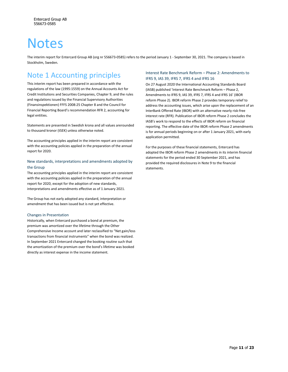## **Notes**

The interim report for Entercard Group AB (org nr 556673-0585) refers to the period January 1 - September 30, 2021. The company is based in Stockholm, Sweden.

### Note 1 Accounting principles

This interim report has been prepared in accordance with the regulations of the law (1995:1559) on the Annual Accounts Act for Credit Institutions and Securities Companies, Chapter 9, and the rules and regulations issued by the Financial Supervisory Authorities (Finansinspektionen) FFFS 2008:25 Chapter 8 and the Council for Financial Reporting Board's recommendation RFR 2, accounting for legal entities.

Statements are presented in Swedish krona and all values arerounded to thousand kronor (tSEK) unless otherwise noted.

The accounting principles applied in the interim report are consistent with the accounting policies applied in the preparation of the annual report for 2020.

### New standards, interpretations and amendments adopted by the Group

The accounting principles applied in the interim report are consistent with the accounting policies applied in the preparation of the annual report for 2020, except for the adoption of new standards, interpretations and amendments effective as of 1 January 2021.

The Group has not early adopted any standard, interpretation or amendment that has been issued but is not yet effective.

### Changes in Presentation

Historically, when Entercard purchased a bond at premium, the premium was amortized over the lifetime through the Other Comprehensive Income account and later reclassified to "Net gain/loss transactions from financial instruments" when the bond was realized. In September 2021 Entercard changed the booking routine such that the amortization of the premium over the bond's lifetime was booked directly as interest expense in the income statement.

### Interest Rate Benchmark Reform – Phase 2: Amendments to IFRS 9, IAS 39, IFRS 7, IFRS 4 and IFRS 16

On 27 August 2020 the International Accounting Standards Board (IASB) published 'Interest Rate Benchmark Reform – Phase 2, Amendments to IFRS 9, IAS 39, IFRS 7, IFRS 4 and IFRS 16' (IBOR reform Phase 2). IBOR reform Phase 2 provides temporary relief to address the accounting issues, which arise upon the replacement of an InterBank Offered Rate (IBOR) with an alternative nearly risk-free interest rate (RFR). Publication of IBOR reform Phase 2 concludes the IASB's work to respond to the effects of IBOR reform on financial reporting. The effective date of the IBOR reform Phase 2 amendments is for annual periods beginning on or after 1 January 2021, with early application permitted.

For the purposes of these financial statements, Entercard has adopted the IBOR reform Phase 2 amendments in its interim financial statements for the period ended 30 September 2021, and has provided the required disclosures in Note 9 to the financial statements.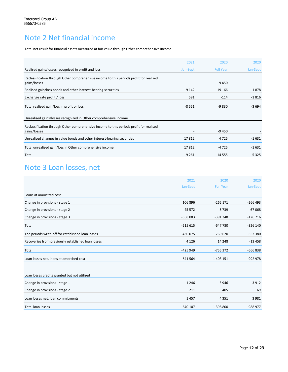## Note 2 Net financial income

Total net result for financial assets measured at fair value through Other comprehensive income

|                                                                                                         | 2021     | 2020             | 2020     |
|---------------------------------------------------------------------------------------------------------|----------|------------------|----------|
| Realised gains/losses recognized in profit and loss                                                     | Jan-Sept | <b>Full Year</b> | Jan-Sept |
| Reclassification through Other comprehensive income to this periods profit for realised<br>gains/losses |          | 9450             |          |
| Realised gain/loss bonds and other interest-bearing securities                                          | $-9142$  | $-19166$         | $-1878$  |
| Exchange rate profit / loss                                                                             | 591      | $-114$           | $-1816$  |
| Total realised gain/loss in profit or loss                                                              | $-8551$  | $-9830$          | $-3694$  |
| Unrealised gains/losses recognized in Other comprehensive income                                        |          |                  |          |
| Reclassification through Other comprehensive income to this periods profit for realised<br>gains/losses |          | $-9450$          |          |
| Unrealised changes in value bonds and other interest-bearing securities                                 | 17812    | 4725             | $-1631$  |
| Total unrealised gain/loss in Other comprehensive income                                                | 17812    | $-4725$          | $-1631$  |
| Total                                                                                                   | 9 2 6 1  | $-14555$         | $-5325$  |

## Note 3 Loan losses, net

|                                                    | 2021       | 2020             | 2020      |
|----------------------------------------------------|------------|------------------|-----------|
|                                                    | Jan-Sept   | <b>Full Year</b> | Jan-Sept  |
| Loans at amortized cost                            |            |                  |           |
| Change in provisions - stage 1                     | 106 896    | $-265171$        | $-266493$ |
| Change in provisions - stage 2                     | 45 5 72    | 8739             | 67068     |
| Change in provisions - stage 3                     | $-368083$  | $-391348$        | $-126716$ |
| Total                                              | $-215615$  | $-647780$        | $-326140$ |
| The periods write-off for established loan losses  | $-430075$  | $-769620$        | $-653380$ |
| Recoveries from previously established loan losses | 4 1 2 6    | 14 248           | $-13458$  |
| Total                                              | $-425949$  | $-755372$        | $-666838$ |
| Loan losses net, loans at amortized cost           | $-641564$  | $-1403151$       | $-992978$ |
| Loan losses credits granted but not utilized       |            |                  |           |
| Change in provisions - stage 1                     | 1 2 4 6    | 3946             | 3912      |
| Change in provisions - stage 2                     | 211        | 405              | 69        |
| Loan losses net, loan commitments                  | 1457       | 4 3 5 1          | 3 9 8 1   |
| <b>Total loan losses</b>                           | $-640$ 107 | $-1398800$       | -988 977  |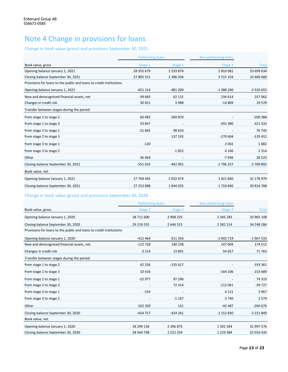## Note 4 Change in provisions for loans

### Change in book value (gross) and provisions September 30, 2021.

|                                                                     | <b>Performing loans</b> |               | Non-performing loans |              |
|---------------------------------------------------------------------|-------------------------|---------------|----------------------|--------------|
| Book value, gross                                                   | Stage 1                 | Stage 2       | Stage 3              | <b>Total</b> |
| Opening balance January 1, 2021                                     | 28 355 679              | 2 5 3 3 8 7 4 | 2810081              | 33 699 634   |
| Closing balance September 30, 2021                                  | 27 805 521              | 2 2 8 6 0 3 6 | 3 5 1 5 1 0 3        | 33 606 660   |
| Provisions for loans to the public and loans to credit institutions |                         |               |                      |              |
| Opening balance January 1, 2021                                     | $-651214$               | $-481200$     | $-1388240$           | $-2520655$   |
| New and derecognised financial assets, net                          | $-39683$                | 62 131        | 234 614              | 257062       |
| Changes in credit risk                                              | 30 451                  | 3988          | $-14869$             | 19570        |
| Transfer between stages during the period                           |                         |               |                      |              |
| from stage 1 to stage 2                                             | 60 482                  | $-260870$     |                      | $-200388$    |
| from stage 1 to stage 3                                             | 33 847                  |               | $-355380$            | $-321533$    |
| from stage 2 to stage 1                                             | $-21865$                | 98 610        |                      | 76 745       |
| from stage 2 to stage 3                                             |                         | 137 192       | $-270604$            | $-133412$    |
| from stage 3 to stage 1                                             | $-120$                  |               | 2 0 0 2              | 1882         |
| from stage 3 to stage 2                                             |                         | $-1852$       | 4 1 6 6              | 2 3 1 4      |
| Other                                                               | 36 4 69                 |               | $-7946$              | 28 5 23      |
| Closing balance September 30, 2021                                  | $-551633$               | $-442001$     | -1 796 257           | -2 789 892   |
| Book value, net                                                     |                         |               |                      |              |
| Opening balance January 1, 2021                                     | 27 704 465              | 2052674       | 1421840              | 31 178 979   |
| Closing balance September 30, 2021                                  | 27 253 888              | 1844035       | 1718846              | 30 816 768   |

### Change in book value (gross) and provisions September 30, 2020.

|                                                                     | <b>Performing loans</b> |               | Non-performing loans |            |
|---------------------------------------------------------------------|-------------------------|---------------|----------------------|------------|
| Book value, gross                                                   | Stage 1                 | Stage 2       | Stage 3              | Total      |
| Opening balance January 1, 2020                                     | 28 711 600              | 2 908 225     | 2 3 4 5 2 8 3        | 33 965 108 |
| Closing balance September 30, 2020                                  | 29 219 555              | 2 646 515     | 2 3 8 2 2 1 4        | 34 248 284 |
| Provisions for loans to the public and loans to credit institutions |                         |               |                      |            |
| Opening balance January 1, 2020                                     | $-412464$               | $-511350$     | $-1043719$           | $-1967533$ |
| New and derecognised financial assets, net                          | $-112728$               | 140 238       | 147 004              | 174 515    |
| Changes in credit risk                                              | 3 2 1 4                 | 13891         | 54 657               | 71 763     |
| Transfer between stages during the period                           |                         |               |                      |            |
| from stage 1 to stage 2                                             | 42 256                  | $-235617$     |                      | $-193361$  |
| from stage 1 to stage 3                                             | 10416                   |               | $-164$ 106           | $-153689$  |
| from stage 2 to stage 1                                             | $-22977$                | 97 296        |                      | 74 319     |
| from stage 2 to stage 3                                             |                         | 72 314        | $-112041$            | $-39727$   |
| from stage 3 to stage 1                                             | $-154$                  |               | 4 1 2 1              | 3967       |
| from stage 3 to stage 2                                             |                         | $-1167$       | 3740                 | 2574       |
| Other                                                               | $-162320$               | 131           | $-42487$             | $-204676$  |
| Closing balance September 30, 2020                                  | $-654757$               | $-424261$     | $-1152830$           | $-2231849$ |
| Book value, net                                                     |                         |               |                      |            |
| Opening balance January 1, 2020                                     | 28 299 136              | 2 3 9 6 8 7 5 | 1 301 564            | 31 997 576 |
| Closing balance September 30, 2020                                  | 28 564 798              | 2 2 2 2 2 5 4 | 1 2 2 9 3 8 4        | 32 016 435 |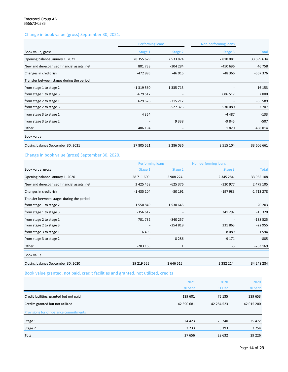### Change in book value (gross) September 30, 2021.

|                                            | Performing loans |                          | Non-performing loans |            |
|--------------------------------------------|------------------|--------------------------|----------------------|------------|
| Book value, gross                          | Stage 1          | Stage 2                  | Stage 3              | Total      |
| Opening balance January 1, 2021            | 28 355 679       | 2 533 874                | 2 810 081            | 33 699 634 |
| New and derecognised financial assets, net | 801738           | $-304284$                | $-450696$            | 46758      |
| Changes in credit risk                     | -472 995         | $-46015$                 | $-48366$             | $-567376$  |
| Transfer between stages during the period  |                  |                          |                      |            |
| from stage 1 to stage 2                    | $-1319560$       | 1 3 3 7 1 3              |                      | 16 153     |
| from stage 1 to stage 3                    | $-679517$        | $\overline{\phantom{a}}$ | 686 517              | 7000       |
| from stage 2 to stage 1                    | 629 628          | $-715217$                |                      | $-85589$   |
| from stage 2 to stage 3                    |                  | $-527373$                | 530 080              | 2 7 0 7    |
| from stage 3 to stage 1                    | 4 3 5 4          |                          | $-4487$              | $-133$     |
| from stage 3 to stage 2                    |                  | 9338                     | $-9845$              | $-507$     |
| Other                                      | 486 194          | $\overline{\phantom{a}}$ | 1820                 | 488 014    |
| Book value                                 |                  |                          |                      |            |
| Closing balance September 30, 2021         | 27 805 521       | 2 2 8 6 0 3 6            | 3 5 1 5 1 0 4        | 33 606 661 |

### Change in book value (gross) September 30, 2020.

|                                            |                              | <b>Performing loans</b>  |               |              |  |
|--------------------------------------------|------------------------------|--------------------------|---------------|--------------|--|
| Book value, gross                          | Stage 1                      | Stage 2                  | Stage 3       | <b>Total</b> |  |
| Opening balance January 1, 2020            | 28 711 600                   | 2 908 224                | 2 345 284     | 33 965 108   |  |
| New and derecognised financial assets, net | 3 4 2 5 4 5 8                | $-625376$                | $-320977$     | 2 479 105    |  |
| Changes in credit risk                     | $-1435104$                   | $-80191$                 | $-197983$     | $-1713278$   |  |
| Transfer between stages during the period  |                              |                          |               |              |  |
| from stage 1 to stage 2                    | $-1550849$                   | 1530645                  |               | $-20203$     |  |
| from stage 1 to stage 3                    | $-356612$                    | $\overline{\phantom{a}}$ | 341 292       | $-15320$     |  |
| from stage 2 to stage 1                    | 701 732                      | $-840257$                |               | $-138525$    |  |
| from stage 2 to stage 3                    | $\qquad \qquad \blacksquare$ | $-254819$                | 231863        | $-22955$     |  |
| from stage 3 to stage 1                    | 6495                         | $\overline{\phantom{a}}$ | $-8089$       | $-1594$      |  |
| from stage 3 to stage 2                    | $\qquad \qquad \blacksquare$ | 8 2 8 6                  | $-9171$       | $-885$       |  |
| Other                                      | $-283165$                    | $\mathbf{1}$             | -5            | $-283169$    |  |
| Book value                                 |                              |                          |               |              |  |
| Closing balance September 30, 2020         | 29 219 555                   | 2 646 515                | 2 3 8 2 2 1 4 | 34 248 284   |  |

### Book value granted, not paid, credit facilities and granted, not utilized, credits

|                                                                             | 2021<br>30 Sept       | 2020<br>31 Dec       | 2020<br>30 Sept       |
|-----------------------------------------------------------------------------|-----------------------|----------------------|-----------------------|
| Credit facilities, granted but not paid<br>Credits granted but not utilized | 139 601<br>42 390 681 | 75 135<br>42 284 523 | 239 653<br>42 015 200 |
| Provisions for off-balance commitments                                      |                       |                      |                       |
| Stage 1                                                                     | 24 4 23               | 25 240               | 25 472                |
| Stage 2                                                                     | 3 2 3 3               | 3 3 9 3              | 3754                  |
| Total                                                                       | 27 656                | 28 632               | 29 2 26               |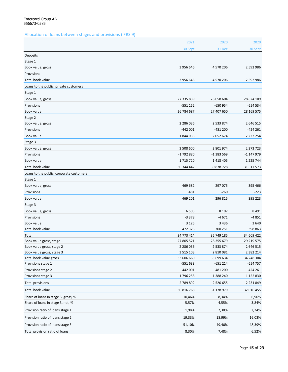### Allocation of loans between stages and provisions (IFRS 9)

|                                          | 2021          | 2020          | 2020          |
|------------------------------------------|---------------|---------------|---------------|
|                                          | 30 Sept       | 31 Dec        | 30 Sept       |
| Deposits                                 |               |               |               |
| Stage 1                                  |               |               |               |
| Book value, gross                        | 3 956 646     | 4 570 206     | 2 592 986     |
| Provisions                               |               |               |               |
| Total book value                         | 3 956 646     | 4 570 206     | 2 592 986     |
| Loans to the public, private customers   |               |               |               |
| Stage 1                                  |               |               |               |
| Book value, gross                        | 27 335 839    | 28 058 604    | 28 824 109    |
| Provisions                               | $-551152$     | $-650954$     | $-654534$     |
| Book value                               | 26 784 687    | 27 407 650    | 28 169 575    |
| Stage 2                                  |               |               |               |
| Book value, gross                        | 2 2 8 6 0 3 6 | 2 5 3 8 7 4   | 2 646 515     |
| Provisions                               | $-442001$     | $-481200$     | $-424261$     |
| Book value                               | 1844035       | 2052674       | 2 2 2 2 2 5 4 |
| Stage 3                                  |               |               |               |
| Book value, gross                        | 3 508 600     | 2 801 974     | 2 373 723     |
| Provisions                               | -1 792 880    | -1 383 569    | -1 147 979    |
| Book value                               | 1715720       | 1 4 1 8 4 0 5 | 1 2 2 5 7 4 4 |
| Total book value                         | 30 344 442    | 30 878 728    | 31 617 573    |
| Loans to the public, corporate customers |               |               |               |
| Stage 1                                  |               |               |               |
| Book value, gross                        | 469 682       | 297 075       | 395 466       |
| Provisions                               | $-481$        | $-260$        | $-223$        |
| Book value                               | 469 201       | 296 815       | 395 223       |
| Stage 3                                  |               |               |               |
| Book value, gross                        | 6 5 0 3       | 8 1 0 7       | 8 4 9 1       |
| Provisions                               | $-3378$       | $-4671$       | -4851         |
| Book value                               | 3 1 2 5       | 3 4 3 6       | 3 6 4 0       |
| Total book value                         | 472 326       | 300 251       | 398 863       |
| Total                                    | 34 773 414    | 35 749 185    | 34 609 422    |
| Book value gross, stage 1                | 27 805 521    | 28 355 679    | 29 219 575    |
| Book value gross, stage 2                | 2 2 8 6 0 3 6 | 2 5 3 3 8 7 4 | 2 646 515     |
| Book value gross, stage 3                | 3 5 1 5 1 0 3 | 2 810 081     | 2 3 8 2 2 1 4 |
| Total book value gross                   | 33 606 660    | 33 699 634    | 34 248 304    |
| Provisions stage 1                       | $-551633$     | $-651214$     | $-654757$     |
| Provisions stage 2                       | $-442001$     | $-481200$     | $-424261$     |
| Provisions stage 3                       | $-1796258$    | -1 388 240    | -1 152 830    |
| Total provisions                         | -2 789 892    | $-2520655$    | -2 231 849    |
| Total book value                         | 30 816 768    | 31 178 979    | 32 016 455    |
| Share of loans in stage 3, gross, %      | 10,46%        | 8,34%         | 6,96%         |
| Share of loans in stage 3, net, %        | 5,57%         | 4,55%         | 3,84%         |
| Provision ratio of loans stage 1         | 1,98%         | 2,30%         | 2,24%         |
| Provision ratio of loans stage 2         | 19,33%        | 18,99%        | 16,03%        |
| Provision ratio of loans stage 3         | 51,10%        | 49,40%        | 48,39%        |
| Total provision ratio of loans           | 8,30%         | 7,48%         | 6,52%         |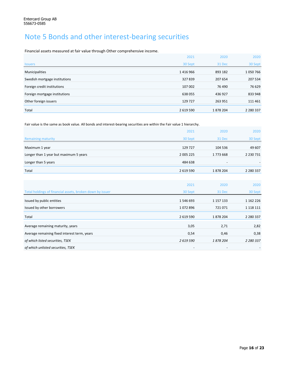## Note 5 Bonds and other interest-bearing securities

Financial assets measured at fair value through Other comprehensive income.

|                               | 2021      | 2020     | 2020          |
|-------------------------------|-----------|----------|---------------|
| <b>Issuers</b>                | 30 Sept   | 31 Dec   | 30 Sept       |
| Municipalities                | 1416966   | 893 182  | 1050766       |
| Swedish mortgage institutions | 327839    | 207 654  | 207 534       |
| Foreign credit institutions   | 107 002   | 76 490   | 76 629        |
| Foreign mortgage institutions | 638055    | 436 927  | 833 948       |
| Other foreign issuers         | 129 727   | 263 951  | 111 461       |
| Total                         | 2 619 590 | 1878 204 | 2 2 8 0 3 3 7 |

Fair value is the same as book value. All bonds and interest-bearing securities are within the Fair value 1 hierarchy.

|                                        | 2021      | 2020                     | 2020          |
|----------------------------------------|-----------|--------------------------|---------------|
| <b>Remaining maturity</b>              | 30 Sept   | 31 Dec                   | 30 Sept       |
| Maximum 1 year                         | 129 727   | 104 536                  | 49 607        |
| Longer than 1 year but maximum 5 years | 2 005 225 | 1773668                  | 2 2 3 0 7 3 1 |
| Longer than 5 years                    | 484 638   | $\overline{\phantom{0}}$ | -             |
| Total                                  | 2 619 590 | 1878 204                 | 2 2 8 0 3 3 7 |

|                                                           | 2021                     | 2020      | 2020          |
|-----------------------------------------------------------|--------------------------|-----------|---------------|
| Total holdings of financial assets, broken down by issuer | 30 Sept                  | 31 Dec    | 30 Sept       |
| Issued by public entities                                 | 1546693                  | 1 157 133 | 1 162 226     |
| Issued by other borrowers                                 | 1072896                  | 721071    | 1 1 1 8 1 1 1 |
| Total                                                     | 2 619 590                | 1878204   | 2 2 8 0 3 3 7 |
| Average remaining maturity, years                         | 3,05                     | 2,71      | 2,82          |
| Average remaining fixed interest term, years              | 0,54                     | 0,46      | 0,38          |
| of which listed securities, TSEK                          | 2619590                  | 1878204   | 2 2 8 0 3 3 7 |
| of which unlisted securities, TSEK                        | $\overline{\phantom{0}}$ |           |               |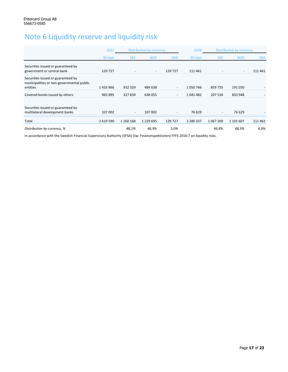## Note 6 Liquidity reserve and liquidity risk

|                                                                                             | 2021      | Distribution by currency |                          |                          | 2020          |            | Distribution by currency |            |
|---------------------------------------------------------------------------------------------|-----------|--------------------------|--------------------------|--------------------------|---------------|------------|--------------------------|------------|
|                                                                                             | 30 sept   | <b>SEK</b>               | <b>NOK</b>               | <b>DKK</b>               | 30 sept       | <b>SEK</b> | <b>NOK</b>               | <b>DKK</b> |
| Securities issued or guaranteed by<br>government or central bank                            | 129 727   |                          | $\overline{\phantom{a}}$ | 129 727                  | 111 461       |            | $\overline{\phantom{a}}$ | 111 461    |
| Securities issued or guaranteed by<br>municipalities or non-governmental public<br>entities | 1416966   | 932 329                  | 484 638                  | $\overline{\phantom{0}}$ | 1050766       | 859 735    | 191 030                  |            |
| Covered bonds issued by others                                                              | 965 895   | 327839                   | 638 055                  |                          | 1041482       | 207 534    | 833 948                  |            |
| Securities issued or guaranteed by<br>multilateral development banks                        | 107 002   | $\overline{\phantom{a}}$ | 107 002                  | $\overline{\phantom{a}}$ | 76 629        |            | 76 629                   |            |
| Total                                                                                       | 2 619 590 | 1 260 168                | 1 2 2 9 6 9 5            | 129 727                  | 2 2 8 0 3 3 7 | 1067269    | 1 101 607                | 111 461    |
| Distribution by currency, %                                                                 |           | 48,1%                    | 46,9%                    | 5,0%                     |               | 46,8%      | 48,3%                    | 4,9%       |

In accordance with the Swedish Financial Supervisory Authority (SFSA) (Sw. Finansinspektionen) FFFS 2010:7 on liquidity risks.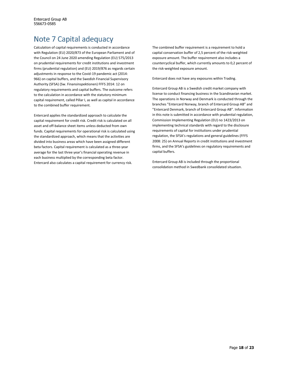## Note 7 Capital adequacy

Calculation of capital requirements is conducted in accordance with Regulation (EU) 2020/873 of the European Parliament and of the Council on 24 June 2020 amending Regulation (EU) 575/2013 on prudential requirements for credit institutions and investment firms (prudential regulation) and (EU) 2019/876 as regards certain adjustments in response to the Covid-19 pandemic act (2014: 966) on capital buffers, and the Swedish Financial Supervisory Authority (SFSA) (Sw. Finansinspektionen) FFFS 2014: 12 on regulatory requirements and capital buffers. The outcome refers to the calculation in accordance with the statutory minimum capital requirement, called Pillar I, as well as capital in accordance to the combined buffer requirement.

Entercard applies the standardized approach to calculate the capital requirement for credit risk. Credit risk is calculated on all asset and off-balance sheet items unless deducted from own funds. Capital requirements for operational risk is calculated using the standardized approach, which means that the activities are divided into business areas which have been assigned different beta factors. Capital requirement is calculated as a three-year average for the last three year's financial operating revenue in each business multiplied by the corresponding beta factor. Entercard also calculates a capital requirement for currency risk.

The combined buffer requirement is a requirement to hold a capital conservation buffer of 2,5 percent of the risk-weighted exposure amount. The buffer requirement also includes a countercyclical buffer, which currently amounts to 0,2 percent of the risk-weighted exposure amount.

Entercard does not have any exposures within Trading.

Entercard Group AB is a Swedish credit market company with license to conduct financing business in the Scandinavian market. The operations in Norway and Denmark is conducted through the branches "Entercard Norway, branch of Entercard Group AB" and "Entercard Denmark, branch of Entercard Group AB". Information in this note is submitted in accordance with prudential regulation, Commission Implementing Regulation (EU) no 1423/2013 on implementing technical standards with regard to the disclosure requirements of capital for institutions under prudential regulation, the SFSA's regulations and general guidelines (FFFS 2008: 25) on Annual Reports in credit institutions and investment firms, and the SFSA's guidelines on regulatory requirements and capital buffers.

Entercard Group AB is included through the proportional consolidation method in Swedbank consolidated situation.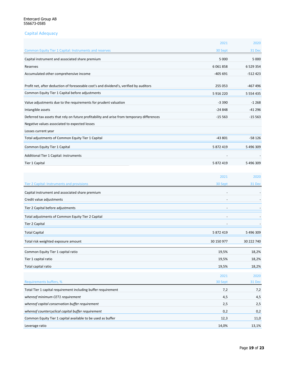### Capital Adequacy

|                                                                                            | 2021          | 2020          |
|--------------------------------------------------------------------------------------------|---------------|---------------|
| <b>Common Equity Tier 1 Capital: Instruments and reserves</b>                              | 30 Sept       | 31 Dec        |
| Capital instrument and associated share premium                                            | 5 000         | 5 000         |
| Reserves                                                                                   | 6 0 6 1 8 5 8 | 6 5 2 9 3 5 4 |
| Accumulated other comprehensive income                                                     | $-405691$     | $-512423$     |
|                                                                                            |               |               |
| Profit net, after deduction of foreseeable cost's and dividend's, verified by auditors     | 255 053       | -467 496      |
| Common Equity Tier 1 Capital before adjustments                                            | 5 916 220     | 5 5 5 4 4 3 5 |
| Value adjustments due to the requirements for prudent valuation                            | $-3390$       | $-1268$       |
| Intangible assets                                                                          | -24 848       | -41 296       |
| Deferred tax assets that rely on future profitability and arise from temporary differences | $-15563$      | $-15563$      |
| Negative values associated to expected losses                                              |               |               |
| Losses current year                                                                        |               |               |
| Total adjustments of Common Equity Tier 1 Capital                                          | $-43801$      | $-58126$      |
| Common Equity Tier 1 Capital                                                               | 5 872 419     | 5 496 309     |
| Additional Tier 1 Capital: instruments                                                     |               |               |
| <b>Tier 1 Capital</b>                                                                      | 5 872 419     | 5 496 309     |
|                                                                                            |               |               |
|                                                                                            | 2021          | 2020          |
| Tier 2 Capital: Instruments and provisions                                                 | 30 Sept       | 31 Dec        |
| Capital instrument and associated share premium                                            |               |               |
| Credit value adjustments                                                                   |               |               |
| Tier 2 Capital before adjustments                                                          |               |               |
| Total adjustments of Common Equity Tier 2 Capital                                          |               |               |
| <b>Tier 2 Capital</b>                                                                      |               |               |
|                                                                                            | 5 872 419     | 5 496 309     |
| <b>Total Capital</b>                                                                       |               |               |
| Total risk weighted exposure amount                                                        | 30 150 977    | 30 222 740    |
| Common Equity Tier 1 capital ratio                                                         | 19,5%         | 18,2%         |
| Tier 1 capital ratio                                                                       | 19,5%         | 18,2%         |
| Total capital ratio                                                                        | 19,5%         | 18,2%         |
|                                                                                            | 2021          | 2020          |
| Requirements buffers, %                                                                    | 30 Sept       | 31 Dec        |
| Total Tier 1 capital requirement including buffer requirement                              | 7,2           | 7,2           |
| whereof minimum CET1 requirement                                                           | 4,5           | 4,5           |
| whereof capital conservation buffer requirement                                            | 2,5           | 2,5           |
| whereof countercyclical capital buffer requirement                                         | 0,2           | 0,2           |
| Common Equity Tier 1 capital available to be used as buffer                                | 12,3          | 11,0          |
| Leverage ratio                                                                             | 14,0%         | 13,1%         |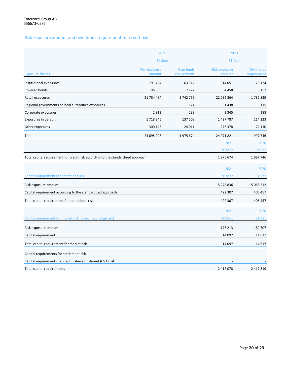Risk exposure amount and own funds requirement for credit risk

|                                                                                  | 2021                           |                          |                                | 2020                     |  |  |
|----------------------------------------------------------------------------------|--------------------------------|--------------------------|--------------------------------|--------------------------|--|--|
|                                                                                  | 30 Sept                        |                          | 31 Dec                         |                          |  |  |
| <b>Exposure classes</b>                                                          | <b>Risk exposure</b><br>amount | Own funds<br>requirement | <b>Risk exposure</b><br>amount | Own funds<br>requirement |  |  |
| Institutional exposures                                                          | 791 404                        | 63 312                   | 914 051                        | 73 124                   |  |  |
| Covered bonds                                                                    | 96 589                         | 7727                     | 64 458                         | 5 1 5 7                  |  |  |
| Retail exposures                                                                 | 21 784 484                     | 1742759                  | 22 285 364                     | 1782829                  |  |  |
| Regional governments or local authorities exposures                              | 1550                           | 124                      | 1438                           | 115                      |  |  |
| Corporate exposures                                                              | 2912                           | 233                      | 2 3 4 5                        | 188                      |  |  |
| Exposures in default                                                             | 1718845                        | 137 508                  | 1427787                        | 114 223                  |  |  |
| Other exposures                                                                  | 300 143                        | 24 011                   | 276 378                        | 22 110                   |  |  |
| Total                                                                            | 24 695 928                     | 1975 674                 | 24 971 821                     | 1997746                  |  |  |
|                                                                                  |                                |                          | 2021                           | 2020                     |  |  |
|                                                                                  |                                |                          | 30 Sept                        | 31 Dec                   |  |  |
| Total capital requirement for credit risk according to the standardized approach |                                |                          | 1975674                        | 1997746                  |  |  |
|                                                                                  |                                |                          |                                |                          |  |  |
|                                                                                  |                                |                          | 2021                           | 2020                     |  |  |
| Capital requirement for operational risk                                         |                                |                          | 30 Sept                        | 31 Dec                   |  |  |
| Risk exposure amount                                                             |                                |                          | 5 278 836                      | 5 068 212                |  |  |
| Capital requirement according to the standardized approach                       |                                |                          | 422 307                        | 405 457                  |  |  |
| Total capital requirement for operational risk                                   |                                |                          | 422 307                        | 405 457                  |  |  |
|                                                                                  |                                |                          | 2021                           | 2020                     |  |  |
| Capital requirement for market risk (foreign exchange risk)                      |                                |                          | 30 Sept                        | 31 Dec                   |  |  |
| Risk exposure amount                                                             |                                |                          | 176 213                        | 182 707                  |  |  |
| Capital requirement                                                              |                                |                          | 14 097                         | 14 6 17                  |  |  |
| Total capital requirement for market risk                                        |                                |                          | 14 097                         | 14 6 17                  |  |  |
| Capital requirements for settlement risk                                         |                                |                          |                                |                          |  |  |
| Capital requirements for credit value adjustment (CVA) risk                      |                                |                          |                                |                          |  |  |
| Total capital requirements                                                       |                                |                          | 2 412 078                      | 2 417 819                |  |  |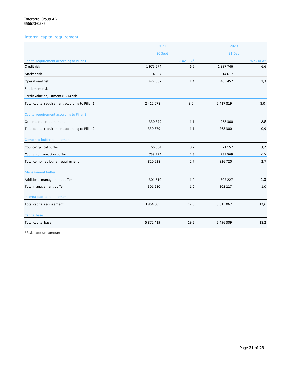### Internal capital requirement

|                                                 | 2021      |           | 2020<br>31 Dec |           |
|-------------------------------------------------|-----------|-----------|----------------|-----------|
|                                                 | 30 Sept   |           |                |           |
| Capital requirement according to Pillar 1       |           | % av REA* |                | % av REA* |
| Credit risk                                     | 1975 674  | 6,6       | 1997746        | 6,6       |
| Market risk                                     | 14 097    |           | 14 6 17        |           |
| Operational risk                                | 422 307   | 1,4       | 405 457        | 1,3       |
| Settlement risk                                 |           |           |                |           |
| Credit value adjustment (CVA) risk              |           |           |                |           |
| Total capital requirement according to Pillar 1 | 2 412 078 | 8,0       | 2 417 819      | 8,0       |
| Capital requirement according to Pillar 2       |           |           |                |           |
| Other capital requirement                       | 330 379   | 1,1       | 268 300        | 0,9       |
| Total capital requirement according to Pillar 2 | 330 379   | 1,1       | 268 300        | 0,9       |
| Combined buffer requirement                     |           |           |                |           |
| Countercyclical buffer                          | 66 864    | 0,2       | 71 152         | 0,2       |
| Capital conservation buffer                     | 753 774   | 2,5       | 755 569        | 2,5       |
| Total combined buffer requirement               | 820 638   | 2,7       | 826 720        | 2,7       |
| <b>Management buffer</b>                        |           |           |                |           |
| Additional management buffer                    | 301 510   | 1,0       | 302 227        | 1,0       |
| Total management buffer                         | 301 510   | 1,0       | 302 227        | $1,0$     |
| Internal capital requirement                    |           |           |                |           |
| Total capital requirement                       | 3 864 605 | 12,8      | 3 8 1 5 0 6 7  | 12,6      |
| <b>Capital base</b>                             |           |           |                |           |
| Total capital base                              | 5 872 419 | 19,5      | 5 496 309      | 18,2      |

\*Risk exposure amount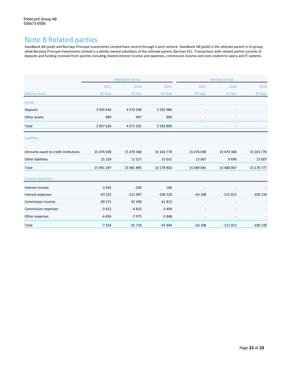## Note 8 Related parties

Swedbank AB (publ) and Barclays Principal Investments Limited have control through a joint venture. Swedbank AB (publ) is the ultimate parent in its group, while Barclays Principal Investments Limited is a wholly-owned subsidiary of the ultimate parent, Barclays PLC. Transactions with related parties consists of deposits and funding received from parents including related interest income and expenses, commission income and costs related to salary and IT-systems.

|                                     | <b>Swedbank Group</b> |            |            | <b>Barclays Group</b>    |                          |            |
|-------------------------------------|-----------------------|------------|------------|--------------------------|--------------------------|------------|
|                                     | 2021                  | 2020       | 2020       | 2021                     | 2020                     | 2020       |
| <b>Balance sheet</b>                | 30 Sept               | 31 Dec     | 30 Sept    | 30 Sept                  | 31 Dec                   | 30 Sept    |
| <b>Assets</b>                       |                       |            |            |                          |                          |            |
| Deposits                            | 3 956 646             | 4 570 206  | 2 592 986  | $\overline{\phantom{a}}$ | $\overline{\phantom{a}}$ |            |
| Other assets                        | 989                   | 997        | 904        |                          |                          |            |
| Total                               | 3 957 636             | 4 571 202  | 2 593 890  |                          |                          |            |
| Liabilities                         |                       |            |            |                          |                          |            |
| Amounts owed to credit institutions | 15 476 038            | 15 470 368 | 15 163 770 | 15 476 038               | 15 470 368               | 15 163 770 |
| Other liabilities                   | 15 2 5 9              | 11527      | 15 0 32    | 13 007                   | 9699                     | 13 007     |
| Total                               | 15 491 297            | 15 481 895 | 15 178 802 | 15 489 045               | 15 480 067               | 15 176 777 |
| Income statement                    |                       |            |            |                          |                          |            |
| Interest income                     | $-3435$               | $-326$     | 166        |                          |                          |            |
| Interest expenses                   | $-63102$              | $-121097$  | $-100220$  | $-63108$                 | $-121013$                | $-100130$  |
| Commission income                   | 69 271                | 92 490     | 61813      |                          |                          |            |
| Commission expenses                 | $-3412$               | $-4810$    | $-3404$    |                          | $\overline{\phantom{a}}$ |            |
| Other expenses                      | $-6656$               | $-7975$    | $-5848$    |                          |                          |            |
| Total                               | $-7334$               | $-41718$   | $-47494$   | $-63108$                 | $-121013$                | $-100$ 130 |